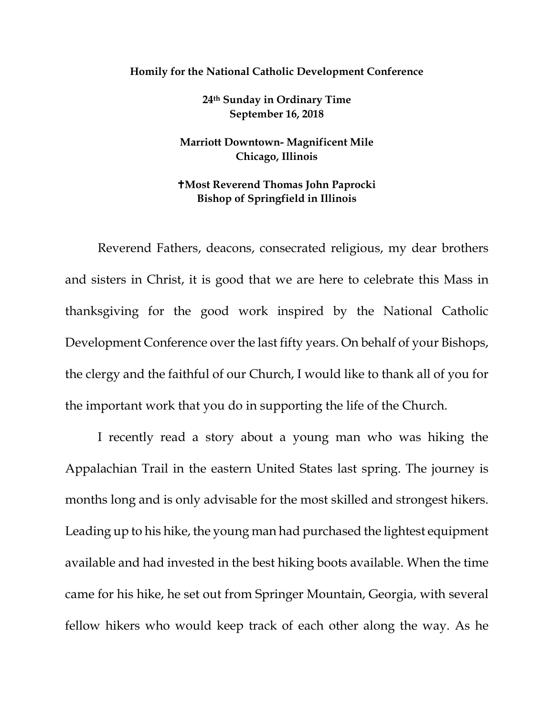## **Homily for the National Catholic Development Conference**

**24th Sunday in Ordinary Time September 16, 2018**

**Marriott Downtown- Magnificent Mile Chicago, Illinois** 

## **Most Reverend Thomas John Paprocki Bishop of Springfield in Illinois**

Reverend Fathers, deacons, consecrated religious, my dear brothers and sisters in Christ, it is good that we are here to celebrate this Mass in thanksgiving for the good work inspired by the National Catholic Development Conference over the last fifty years. On behalf of your Bishops, the clergy and the faithful of our Church, I would like to thank all of you for the important work that you do in supporting the life of the Church.

I recently read a story about a young man who was hiking the Appalachian Trail in the eastern United States last spring. The journey is months long and is only advisable for the most skilled and strongest hikers. Leading up to his hike, the young man had purchased the lightest equipment available and had invested in the best hiking boots available. When the time came for his hike, he set out from Springer Mountain, Georgia, with several fellow hikers who would keep track of each other along the way. As he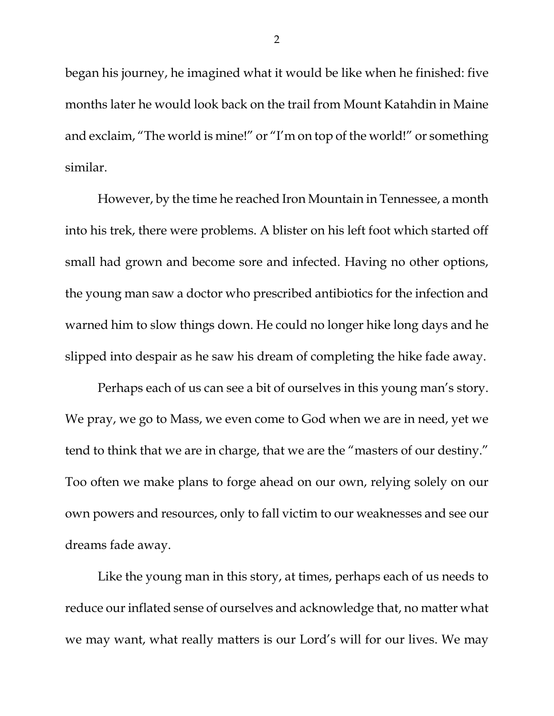began his journey, he imagined what it would be like when he finished: five months later he would look back on the trail from Mount Katahdin in Maine and exclaim, "The world is mine!" or "I'm on top of the world!" or something similar.

However, by the time he reached Iron Mountain in Tennessee, a month into his trek, there were problems. A blister on his left foot which started off small had grown and become sore and infected. Having no other options, the young man saw a doctor who prescribed antibiotics for the infection and warned him to slow things down. He could no longer hike long days and he slipped into despair as he saw his dream of completing the hike fade away.

Perhaps each of us can see a bit of ourselves in this young man's story. We pray, we go to Mass, we even come to God when we are in need, yet we tend to think that we are in charge, that we are the "masters of our destiny." Too often we make plans to forge ahead on our own, relying solely on our own powers and resources, only to fall victim to our weaknesses and see our dreams fade away.

Like the young man in this story, at times, perhaps each of us needs to reduce our inflated sense of ourselves and acknowledge that, no matter what we may want, what really matters is our Lord's will for our lives. We may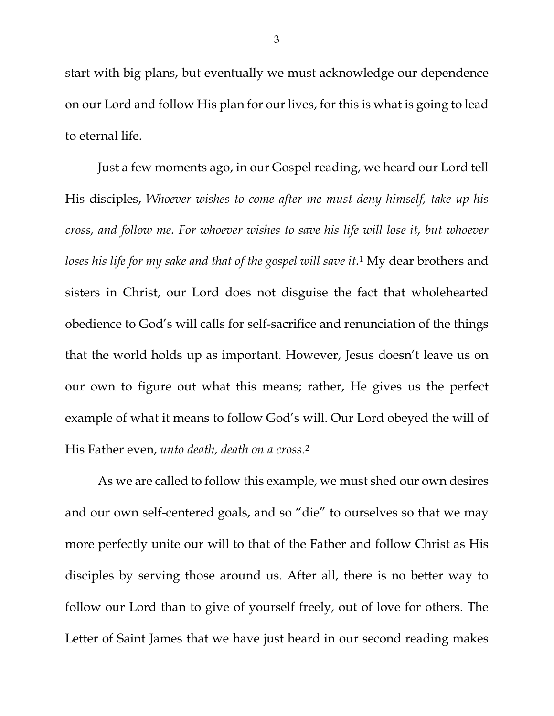start with big plans, but eventually we must acknowledge our dependence on our Lord and follow His plan for our lives, for this is what is going to lead to eternal life.

Just a few moments ago, in our Gospel reading, we heard our Lord tell His disciples, *Whoever wishes to come after me must deny himself, take up his cross, and follow me. For whoever wishes to save his life will lose it, but whoever loses his life for my sake and that of the gospel will save it.*[1](#page-5-0) My dear brothers and sisters in Christ, our Lord does not disguise the fact that wholehearted obedience to God's will calls for self-sacrifice and renunciation of the things that the world holds up as important. However, Jesus doesn't leave us on our own to figure out what this means; rather, He gives us the perfect example of what it means to follow God's will. Our Lord obeyed the will of His Father even, *unto death, death on a cross*[.2](#page-5-1)

As we are called to follow this example, we must shed our own desires and our own self-centered goals, and so "die" to ourselves so that we may more perfectly unite our will to that of the Father and follow Christ as His disciples by serving those around us. After all, there is no better way to follow our Lord than to give of yourself freely, out of love for others. The Letter of Saint James that we have just heard in our second reading makes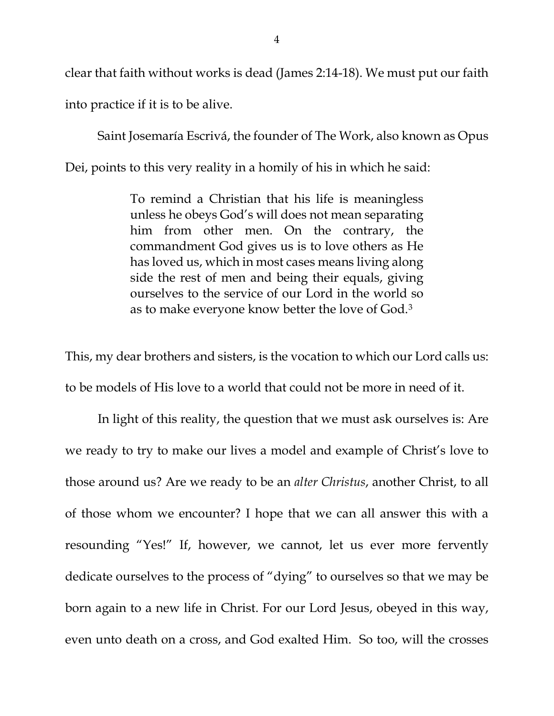clear that faith without works is dead (James 2:14-18). We must put our faith into practice if it is to be alive.

Saint Josemaría Escrivá, the founder of The Work, also known as Opus Dei, points to this very reality in a homily of his in which he said:

> To remind a Christian that his life is meaningless unless he obeys God's will does not mean separating him from other men. On the contrary, the commandment God gives us is to love others as He has loved us, which in most cases means living along side the rest of men and being their equals, giving ourselves to the service of our Lord in the world so as to make everyone know better the love of God.[3](#page-5-2)

This, my dear brothers and sisters, is the vocation to which our Lord calls us: to be models of His love to a world that could not be more in need of it.

In light of this reality, the question that we must ask ourselves is: Are we ready to try to make our lives a model and example of Christ's love to those around us? Are we ready to be an *alter Christus*, another Christ, to all of those whom we encounter? I hope that we can all answer this with a resounding "Yes!" If, however, we cannot, let us ever more fervently dedicate ourselves to the process of "dying" to ourselves so that we may be born again to a new life in Christ. For our Lord Jesus, obeyed in this way, even unto death on a cross, and God exalted Him. So too, will the crosses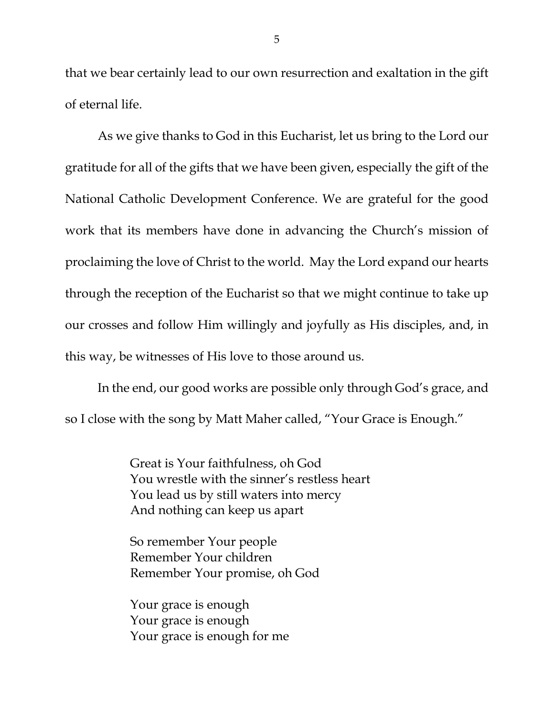that we bear certainly lead to our own resurrection and exaltation in the gift of eternal life.

As we give thanks to God in this Eucharist, let us bring to the Lord our gratitude for all of the gifts that we have been given, especially the gift of the National Catholic Development Conference. We are grateful for the good work that its members have done in advancing the Church's mission of proclaiming the love of Christ to the world. May the Lord expand our hearts through the reception of the Eucharist so that we might continue to take up our crosses and follow Him willingly and joyfully as His disciples, and, in this way, be witnesses of His love to those around us.

In the end, our good works are possible only through God's grace, and so I close with the song by Matt Maher called, "Your Grace is Enough."

> Great is Your faithfulness, oh God You wrestle with the sinner's restless heart You lead us by still waters into mercy And nothing can keep us apart

So remember Your people Remember Your children Remember Your promise, oh God

Your grace is enough Your grace is enough Your grace is enough for me